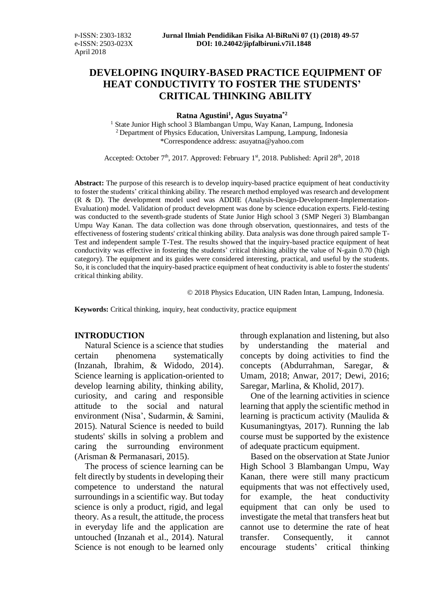# **DEVELOPING INQUIRY-BASED PRACTICE EQUIPMENT OF HEAT CONDUCTIVITY TO FOSTER THE STUDENTS' CRITICAL THINKING ABILITY**

**Ratna Agustini<sup>1</sup> , Agus Suyatna\*2**

<sup>1</sup> State Junior High school 3 Blambangan Umpu, Way Kanan, Lampung, Indonesia <sup>2</sup>Department of Physics Education, Universitas Lampung, Lampung, Indonesia \*Correspondence address: [asuyatna@yahoo.com](mailto:asuyatna@yahoo.com)

Accepted: October 7<sup>th</sup>, 2017. Approved: February 1<sup>st</sup>, 2018. Published: April 28<sup>th</sup>, 2018

**Abstract:** The purpose of this research is to develop inquiry-based practice equipment of heat conductivity to foster the students' critical thinking ability. The research method employed was research and development (R & D). The development model used was ADDIE (Analysis-Design-Development-Implementation-Evaluation) model. Validation of product development was done by science education experts. Field-testing was conducted to the seventh-grade students of State Junior High school 3 (SMP Negeri 3) Blambangan Umpu Way Kanan. The data collection was done through observation, questionnaires, and tests of the effectiveness of fostering students' critical thinking ability. Data analysis was done through paired sample T-Test and independent sample T-Test. The results showed that the inquiry-based practice equipment of heat conductivity was effective in fostering the students' critical thinking ability the value of N-gain 0.70 (high category). The equipment and its guides were considered interesting, practical, and useful by the students. So, it is concluded that the inquiry-based practice equipment of heat conductivity is able to foster the students' critical thinking ability.

© 2018 Physics Education, UIN Raden Intan, Lampung, Indonesia.

**Keywords:** Critical thinking, inquiry, heat conductivity, practice equipment

## **INTRODUCTION**

Natural Science is a science that studies certain phenomena systematically (Inzanah, Ibrahim, & Widodo, 2014). Science learning is application-oriented to develop learning ability, thinking ability, curiosity, and caring and responsible attitude to the social and natural environment (Nisa', Sudarmin, & Samini, 2015). Natural Science is needed to build students' skills in solving a problem and caring the surrounding environment (Arisman & Permanasari, 2015).

The process of science learning can be felt directly by students in developing their competence to understand the natural surroundings in a scientific way. But today science is only a product, rigid, and legal theory. As a result, the attitude, the process in everyday life and the application are untouched (Inzanah et al., 2014). Natural Science is not enough to be learned only through explanation and listening, but also by understanding the material and concepts by doing activities to find the concepts (Abdurrahman, Saregar, & Umam, 2018; Anwar, 2017; Dewi, 2016; Saregar, Marlina, & Kholid, 2017).

One of the learning activities in science learning that apply the scientific method in learning is practicum activity (Maulida & Kusumaningtyas, 2017). Running the lab course must be supported by the existence of adequate practicum equipment.

Based on the observation at State Junior High School 3 Blambangan Umpu, Way Kanan, there were still many practicum equipments that was not effectively used, for example, the heat conductivity equipment that can only be used to investigate the metal that transfers heat but cannot use to determine the rate of heat transfer. Consequently, it cannot encourage students' critical thinking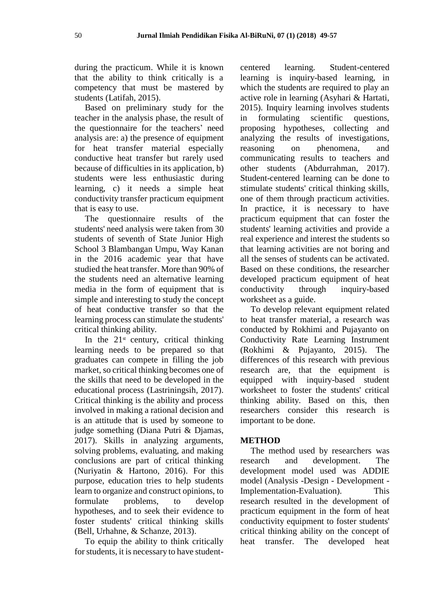during the practicum. While it is known that the ability to think critically is a competency that must be mastered by students (Latifah, 2015).

Based on preliminary study for the teacher in the analysis phase, the result of the questionnaire for the teachers' need analysis are: a) the presence of equipment for heat transfer material especially conductive heat transfer but rarely used because of difficulties in its application, b) students were less enthusiastic during learning, c) it needs a simple heat conductivity transfer practicum equipment that is easy to use.

The questionnaire results of the students' need analysis were taken from 30 students of seventh of State Junior High School 3 Blambangan Umpu, Way Kanan in the 2016 academic year that have studied the heat transfer. More than 90% of the students need an alternative learning media in the form of equipment that is simple and interesting to study the concept of heat conductive transfer so that the learning process can stimulate the students' critical thinking ability.

In the  $21<sup>st</sup>$  century, critical thinking learning needs to be prepared so that graduates can compete in filling the job market, so critical thinking becomes one of the skills that need to be developed in the educational process (Lastriningsih, 2017). Critical thinking is the ability and process involved in making a rational decision and is an attitude that is used by someone to judge something (Diana Putri & Djamas, 2017). Skills in analyzing arguments, solving problems, evaluating, and making conclusions are part of critical thinking (Nuriyatin & Hartono, 2016). For this purpose, education tries to help students learn to organize and construct opinions, to formulate problems, to develop hypotheses, and to seek their evidence to foster students' critical thinking skills (Bell, Urhahne, & Schanze, 2013).

To equip the ability to think critically for students, it is necessary to have studentcentered learning. Student-centered learning is inquiry-based learning, in which the students are required to play an active role in learning (Asyhari & Hartati, 2015). Inquiry learning involves students in formulating scientific questions, proposing hypotheses, collecting and analyzing the results of investigations, reasoning on phenomena, and communicating results to teachers and other students (Abdurrahman, 2017). Student-centered learning can be done to stimulate students' critical thinking skills, one of them through practicum activities. In practice, it is necessary to have practicum equipment that can foster the students' learning activities and provide a real experience and interest the students so that learning activities are not boring and all the senses of students can be activated. Based on these conditions, the researcher developed practicum equipment of heat conductivity through inquiry-based worksheet as a guide.

To develop relevant equipment related to heat transfer material, a research was conducted by Rokhimi and Pujayanto on Conductivity Rate Learning Instrument (Rokhimi & Pujayanto, 2015). The differences of this research with previous research are, that the equipment is equipped with inquiry-based student worksheet to foster the students' critical thinking ability. Based on this, then researchers consider this research is important to be done.

#### **METHOD**

The method used by researchers was research and development. The development model used was ADDIE model (Analysis -Design - Development - Implementation-Evaluation). This research resulted in the development of practicum equipment in the form of heat conductivity equipment to foster students' critical thinking ability on the concept of heat transfer. The developed heat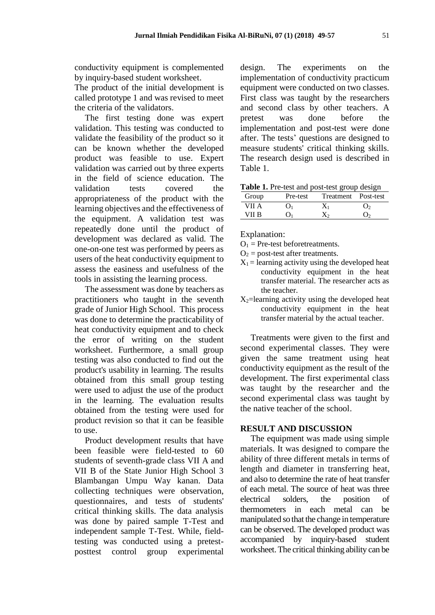conductivity equipment is complemented by inquiry-based student worksheet.

The product of the initial development is called prototype 1 and was revised to meet the criteria of the validators.

The first testing done was expert validation. This testing was conducted to validate the feasibility of the product so it can be known whether the developed product was feasible to use. Expert validation was carried out by three experts in the field of science education. The validation tests covered the appropriateness of the product with the learning objectives and the effectiveness of the equipment. A validation test was repeatedly done until the product of development was declared as valid. The one-on-one test was performed by peers as users of the heat conductivity equipment to assess the easiness and usefulness of the tools in assisting the learning process.

The assessment was done by teachers as practitioners who taught in the seventh grade of Junior High School. This process was done to determine the practicability of heat conductivity equipment and to check the error of writing on the student worksheet. Furthermore, a small group testing was also conducted to find out the product's usability in learning. The results obtained from this small group testing were used to adjust the use of the product in the learning. The evaluation results obtained from the testing were used for product revision so that it can be feasible to use.

Product development results that have been feasible were field-tested to 60 students of seventh-grade class VII A and VII B of the State Junior High School 3 Blambangan Umpu Way kanan. Data collecting techniques were observation, questionnaires, and tests of students' critical thinking skills. The data analysis was done by paired sample T-Test and independent sample T-Test. While, fieldtesting was conducted using a pretestposttest control group experimental design. The experiments on the implementation of conductivity practicum equipment were conducted on two classes. First class was taught by the researchers and second class by other teachers. A pretest was done before the implementation and post-test were done after. The tests' questions are designed to measure students' critical thinking skills. The research design used is described in Table 1.

| Table 1. Pre-test and post-test group design |  |  |
|----------------------------------------------|--|--|
|----------------------------------------------|--|--|

| Group | Pre-test | Treatment Post-test |  |
|-------|----------|---------------------|--|
| VII A |          |                     |  |
| VII R |          |                     |  |

Explanation:

- $O_1$  = Pre-test beforetreatments.
- $O<sub>2</sub>$  = post-test after treatments.
- $X_1$  = learning activity using the developed heat conductivity equipment in the heat transfer material. The researcher acts as the teacher.
- $X_2$ =learning activity using the developed heat conductivity equipment in the heat transfer material by the actual teacher.

Treatments were given to the first and second experimental classes. They were given the same treatment using heat conductivity equipment as the result of the development. The first experimental class was taught by the researcher and the second experimental class was taught by the native teacher of the school.

#### **RESULT AND DISCUSSION**

The equipment was made using simple materials. It was designed to compare the ability of three different metals in terms of length and diameter in transferring heat, and also to determine the rate of heat transfer of each metal. The source of heat was three electrical solders, the position of thermometers in each metal can be manipulated so that the change in temperature can be observed. The developed product was accompanied by inquiry-based student worksheet. The critical thinking ability can be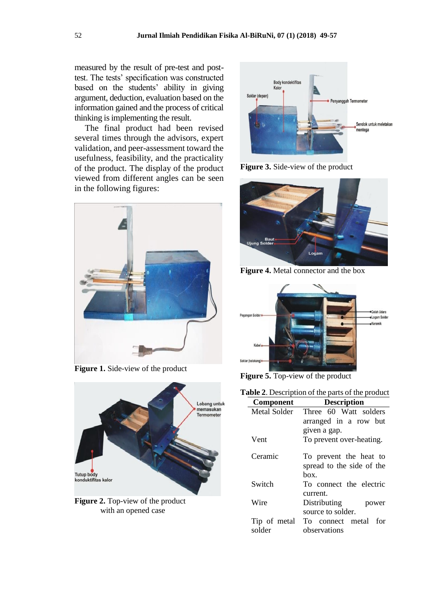measured by the result of pre-test and posttest. The tests' specification was constructed based on the students' ability in giving argument, deduction, evaluation based on the information gained and the process of critical thinking is implementing the result.

The final product had been revised several times through the advisors, expert validation, and peer-assessment toward the usefulness, feasibility, and the practicality of the product. The display of the product viewed from different angles can be seen in the following figures:



**Figure 1.** Side-view of the product



**Figure 2.** Top-view of the product with an opened case



**Figure 3.** Side-view of the product



**Figure 4.** Metal connector and the box



**Figure 5.** Top-view of the product

| <b>Table 2.</b> Description of the parts of the product |                                                             |  |  |
|---------------------------------------------------------|-------------------------------------------------------------|--|--|
| <b>Component</b>                                        | <b>Description</b>                                          |  |  |
| Metal Solder                                            | Three 60 Watt solders                                       |  |  |
|                                                         | arranged in a row but                                       |  |  |
|                                                         | given a gap.                                                |  |  |
| Vent                                                    | To prevent over-heating.                                    |  |  |
| Ceramic                                                 | To prevent the heat to<br>spread to the side of the<br>hox. |  |  |
| Switch                                                  | To connect the electric<br>current.                         |  |  |
| Wire                                                    | Distributing<br>power<br>source to solder.                  |  |  |
| Tip of metal<br>solder                                  | To connect metal for<br>observations                        |  |  |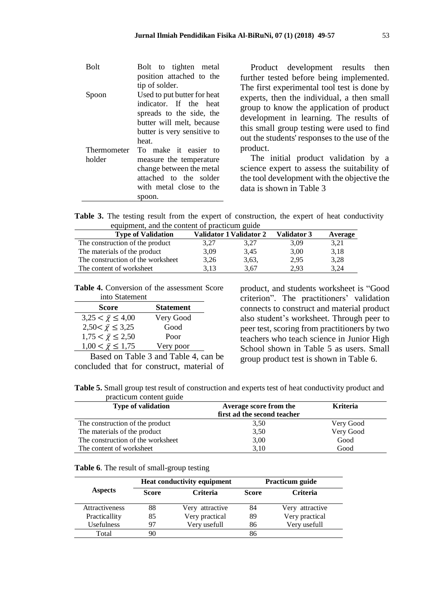| <b>Bolt</b>           | Bolt to tighten metal<br>position attached to the<br>tip of solder.                                                                                    | Product development results then<br>further tested before being implemented.                                                                                                                                                                                                    |
|-----------------------|--------------------------------------------------------------------------------------------------------------------------------------------------------|---------------------------------------------------------------------------------------------------------------------------------------------------------------------------------------------------------------------------------------------------------------------------------|
| Spoon                 | Used to put butter for heat<br>indicator. If the heat<br>spreads to the side, the<br>butter will melt, because<br>butter is very sensitive to<br>heat. | The first experimental tool test is done by<br>experts, then the individual, a then small<br>group to know the application of product<br>development in learning. The results of<br>this small group testing were used to find<br>out the students' responses to the use of the |
| Thermometer<br>holder | To make it easier to<br>measure the temperature<br>change between the metal<br>attached to the solder<br>with metal close to the<br>spoon.             | product.<br>The initial product validation by a<br>science expert to assess the suitability of<br>the tool development with the objective the<br>data is shown in Table 3                                                                                                       |

**Table 3.** The testing result from the expert of construction, the expert of heat conductivity equipment, and the content of practicum guide

| <b>Type of Validation</b>         |      | Validator 1 Validator 2 | <b>Validator 3</b> | Average |
|-----------------------------------|------|-------------------------|--------------------|---------|
| The construction of the product   | 3.27 | 3.27                    | 3,09               | 3.21    |
| The materials of the product      | 3.09 | 3.45                    | 3,00               | 3,18    |
| The construction of the worksheet | 3.26 | 3,63,                   | 2.95               | 3,28    |
| The content of worksheet          | 3.13 | 3.67                    | 2.93               | 3.24    |

**Table 4.** Conversion of the assessment Score into Statement

| <b>Score</b>                  | <b>Statement</b> |
|-------------------------------|------------------|
| $3,25 < \bar{\chi} \leq 4,00$ | Very Good        |
| $2,50 < \bar{\chi} \leq 3,25$ | Good             |
| $1,75 < \bar{\chi} \leq 2,50$ | Poor             |
| $1,00 < \bar{y} \leq 1,75$    | Very poor        |

Based on Table 3 and Table 4, can be concluded that for construct, material of product, and students worksheet is "Good criterion". The practitioners' validation connects to construct and material product also student's worksheet. Through peer to peer test, scoring from practitioners by two teachers who teach science in Junior High School shown in Table 5 as users. Small group product test is shown in Table 6.

**Table 5.** Small group test result of construction and experts test of heat conductivity product and practicum content guide

| <b>Type of validation</b>         | Average score from the<br>first ad the second teacher | <b>Kriteria</b> |
|-----------------------------------|-------------------------------------------------------|-----------------|
| The construction of the product   | 3,50                                                  | Very Good       |
| The materials of the product      | 3,50                                                  | Very Good       |
| The construction of the worksheet | 3,00                                                  | Good            |
| The content of worksheet          | 3.10                                                  | Good            |

| <b>Table 6.</b> The result of small-group testing |  |
|---------------------------------------------------|--|
|---------------------------------------------------|--|

|                   | <b>Heat conductivity equipment</b> |                 |              | <b>Practicum guide</b> |
|-------------------|------------------------------------|-----------------|--------------|------------------------|
| <b>Aspects</b>    | <b>Score</b>                       | <b>Criteria</b> | <b>Score</b> | <b>Criteria</b>        |
| Attractiveness    | 88                                 | Very attractive | 84           | Very attractive        |
| Practicallity     | 85                                 | Very practical  | 89           | Very practical         |
| <b>Usefulness</b> | 97                                 | Very usefull    | 86           | Very usefull           |
| Total             |                                    |                 | 86           |                        |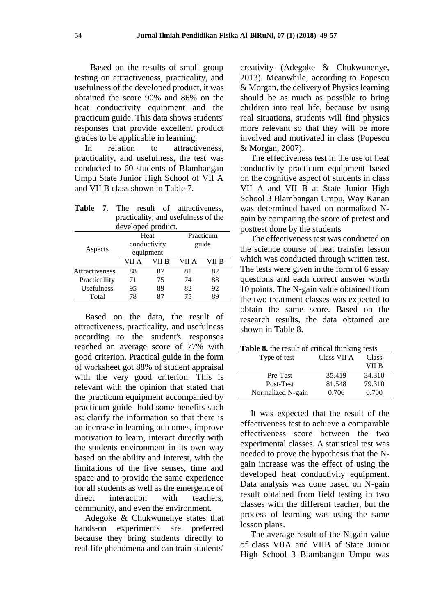Based on the results of small group testing on attractiveness, practicality, and usefulness of the developed product, it was obtained the score 90% and 86% on the heat conductivity equipment and the practicum guide. This data shows students' responses that provide excellent product grades to be applicable in learning.

In relation to attractiveness, practicality, and usefulness, the test was conducted to 60 students of Blambangan Umpu State Junior High School of VII A and VII B class shown in Table 7.

**Table 7.** The result of attractiveness,

| і аніс                              | 1 H.C              | TCSUIL<br>UI. | atu activuluuss, |       |  |
|-------------------------------------|--------------------|---------------|------------------|-------|--|
| practicality, and usefulness of the |                    |               |                  |       |  |
|                                     | developed product. |               |                  |       |  |
| Practicum<br>Heat                   |                    |               |                  |       |  |
|                                     | conductivity       |               |                  | guide |  |
| Aspects                             | equipment          |               |                  |       |  |
|                                     | VII A              | VII B         | VII A            | VII B |  |
| Attractiveness                      | 88                 | 87            | 81               | 82    |  |
| Practicallity                       | 71                 | 75            | 74               | 88    |  |
| Usefulness                          | 95                 | 89            | 82               | 92    |  |
| Total                               | 78                 | 87            | 75               | 89    |  |

Based on the data, the result of attractiveness, practicality, and usefulness according to the student's responses reached an average score of 77% with good criterion. Practical guide in the form of worksheet got 88% of student appraisal with the very good criterion. This is relevant with the opinion that stated that the practicum equipment accompanied by practicum guide hold some benefits such as: clarify the information so that there is an increase in learning outcomes, improve motivation to learn, interact directly with the students environment in its own way based on the ability and interest, with the limitations of the five senses, time and space and to provide the same experience for all students as well as the emergence of direct interaction with teachers, community, and even the environment.

Adegoke & Chukwunenye states that hands-on experiments are preferred because they bring students directly to real-life phenomena and can train students'

creativity (Adegoke & Chukwunenye, 2013). Meanwhile, according to Popescu & Morgan, the delivery of Physics learning should be as much as possible to bring children into real life, because by using real situations, students will find physics more relevant so that they will be more involved and motivated in class (Popescu & Morgan, 2007).

The effectiveness test in the use of heat conductivity practicum equipment based on the cognitive aspect of students in class VII A and VII B at State Junior High School 3 Blambangan Umpu, Way Kanan was determined based on normalized Ngain by comparing the score of pretest and posttest done by the students

The effectiveness test was conducted on the science course of heat transfer lesson which was conducted through written test. The tests were given in the form of 6 essay questions and each correct answer worth 10 points. The N-gain value obtained from the two treatment classes was expected to obtain the same score. Based on the research results, the data obtained are shown in Table 8.

|  | <b>Table 8.</b> the result of critical thinking tests |  |  |  |
|--|-------------------------------------------------------|--|--|--|
|--|-------------------------------------------------------|--|--|--|

| Type of test      | Class VII A | Class  |
|-------------------|-------------|--------|
|                   |             | VII B  |
| Pre-Test          | 35.419      | 34.310 |
| Post-Test         | 81.548      | 79.310 |
| Normalized N-gain | 0.706       | 0.700  |

It was expected that the result of the effectiveness test to achieve a comparable effectiveness score between the two experimental classes. A statistical test was needed to prove the hypothesis that the Ngain increase was the effect of using the developed heat conductivity equipment. Data analysis was done based on N-gain result obtained from field testing in two classes with the different teacher, but the process of learning was using the same lesson plans.

The average result of the N-gain value of class VIIA and VIIB of State Junior High School 3 Blambangan Umpu was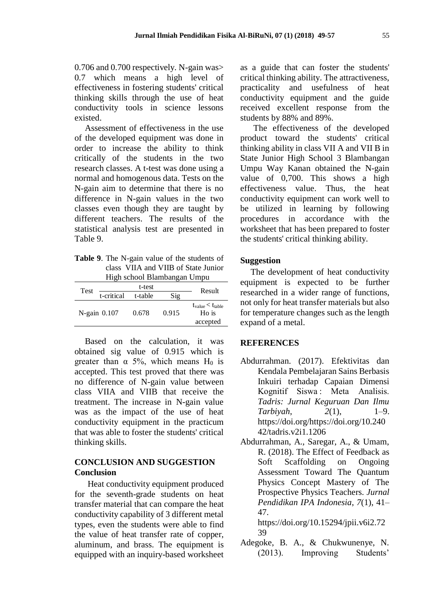0.706 and 0.700 respectively. N-gain was> 0.7 which means a high level of effectiveness in fostering students' critical thinking skills through the use of heat conductivity tools in science lessons existed.

Assessment of effectiveness in the use of the developed equipment was done in order to increase the ability to think critically of the students in the two research classes. A t-test was done using a normal and homogenous data. Tests on the N-gain aim to determine that there is no difference in N-gain values in the two classes even though they are taught by different teachers. The results of the statistical analysis test are presented in Table 9.

**Table 9**. The N-gain value of the students of class VIIA and VIIB of State Junior High school Blambangan Umpu

| Test              | t-test     |         |       | Result                                                     |
|-------------------|------------|---------|-------|------------------------------------------------------------|
|                   | t-critical | t-table | Sig   |                                                            |
| $N$ -gain $0.107$ |            | 0.678   | 0.915 | $t_{value}$ < $t_{table}$<br>H <sub>o</sub> is<br>accepted |

Based on the calculation, it was obtained sig value of 0.915 which is greater than  $\alpha$  5%, which means H<sub>0</sub> is accepted. This test proved that there was no difference of N-gain value between class VIIA and VIIB that receive the treatment. The increase in N-gain value was as the impact of the use of heat conductivity equipment in the practicum that was able to foster the students' critical thinking skills.

## **CONCLUSION AND SUGGESTION Conclusion**

Heat conductivity equipment produced for the seventh-grade students on heat transfer material that can compare the heat conductivity capability of 3 different metal types, even the students were able to find the value of heat transfer rate of copper, aluminum, and brass. The equipment is equipped with an inquiry-based worksheet

as a guide that can foster the students' critical thinking ability. The attractiveness, practicality and usefulness of heat conductivity equipment and the guide received excellent response from the students by 88% and 89%.

The effectiveness of the developed product toward the students' critical thinking ability in class VII A and VII B in State Junior High School 3 Blambangan Umpu Way Kanan obtained the N-gain value of 0,700. This shows a high effectiveness value. Thus, the heat conductivity equipment can work well to be utilized in learning by following procedures in accordance with the worksheet that has been prepared to foster the students' critical thinking ability.

## **Suggestion**

The development of heat conductivity equipment is expected to be further researched in a wider range of functions, not only for heat transfer materials but also for temperature changes such as the length expand of a metal.

#### **REFERENCES**

- Abdurrahman. (2017). Efektivitas dan Kendala Pembelajaran Sains Berbasis Inkuiri terhadap Capaian Dimensi Kognitif Siswa : Meta Analisis. *Tadris: Jurnal Keguruan Dan Ilmu Tarbiyah*, *2*(1), 1–9. https://doi.org/https://doi.org/10.240 42/tadris.v2i1.1206
- Abdurrahman, A., Saregar, A., & Umam, R. (2018). The Effect of Feedback as Soft Scaffolding on Ongoing Assessment Toward The Quantum Physics Concept Mastery of The Prospective Physics Teachers. *Jurnal Pendidikan IPA Indonesia*, *7*(1), 41– 47.

https://doi.org/10.15294/jpii.v6i2.72 39

Adegoke, B. A., & Chukwunenye, N. (2013). Improving Students'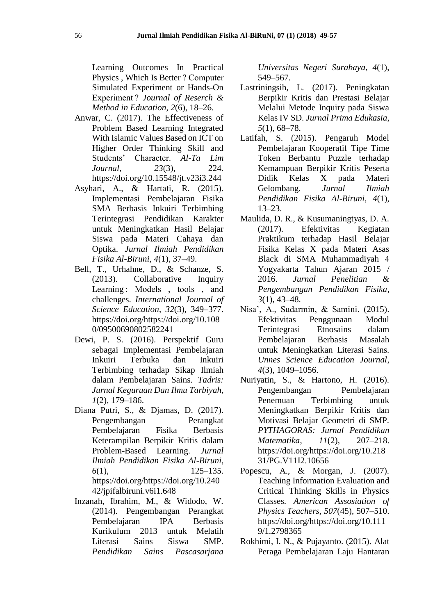Learning Outcomes In Practical Physics , Which Is Better ? Computer Simulated Experiment or Hands-On Experiment ? *Journal of Reserch & Method in Education*, *2*(6), 18–26.

- Anwar, C. (2017). The Effectiveness of Problem Based Learning Integrated With Islamic Values Based on ICT on Higher Order Thinking Skill and Students' Character. *Al-Ta Lim Journal*, *23*(3), 224. https://doi.org/10.15548/jt.v23i3.244
- Asyhari, A., & Hartati, R. (2015). Implementasi Pembelajaran Fisika SMA Berbasis Inkuiri Terbimbing Terintegrasi Pendidikan Karakter untuk Meningkatkan Hasil Belajar Siswa pada Materi Cahaya dan Optika. *Jurnal Ilmiah Pendidikan Fisika Al-Biruni*, *4*(1), 37–49.
- Bell, T., Urhahne, D., & Schanze, S. (2013). Collaborative Inquiry Learning : Models, tools, and challenges. *International Journal of Science Education*, *32*(3), 349–377. https://doi.org/https://doi.org/10.108 0/09500690802582241
- Dewi, P. S. (2016). Perspektif Guru sebagai Implementasi Pembelajaran Inkuiri Terbuka dan Inkuiri Terbimbing terhadap Sikap Ilmiah dalam Pembelajaran Sains. *Tadris: Jurnal Keguruan Dan Ilmu Tarbiyah*, *1*(2), 179–186.
- Diana Putri, S., & Djamas, D. (2017). Pengembangan Perangkat Pembelajaran Fisika Berbasis Keterampilan Berpikir Kritis dalam Problem-Based Learning. *Jurnal Ilmiah Pendidikan Fisika Al-Biruni*, *6*(1), 125–135. https://doi.org/https://doi.org/10.240 42/jpifalbiruni.v6i1.648
- Inzanah, Ibrahim, M., & Widodo, W. (2014). Pengembangan Perangkat Pembelajaran IPA Berbasis Kurikulum 2013 untuk Melatih Literasi Sains Siswa SMP. *Pendidikan Sains Pascasarjana*

*Universitas Negeri Surabaya*, *4*(1), 549–567.

- Lastriningsih, L. (2017). Peningkatan Berpikir Kritis dan Prestasi Belajar Melalui Metode Inquiry pada Siswa Kelas IV SD. *Jurnal Prima Edukasia*, *5*(1), 68–78.
- Latifah, S. (2015). Pengaruh Model Pembelajaran Kooperatif Tipe Time Token Berbantu Puzzle terhadap Kemampuan Berpikir Kritis Peserta Didik Kelas X pada Materi Gelombang. *Jurnal Ilmiah Pendidikan Fisika Al-Biruni*, *4*(1), 13–23.
- Maulida, D. R., & Kusumaningtyas, D. A. (2017). Efektivitas Kegiatan Praktikum terhadap Hasil Belajar Fisika Kelas X pada Materi Asas Black di SMA Muhammadiyah 4 Yogyakarta Tahun Ajaran 2015 / 2016. *Jurnal Penelitian & Pengembangan Pendidikan Fisika*, *3*(1), 43–48.
- Nisa', A., Sudarmin, & Samini. (2015). Efektivitas Penggunaan Modul Terintegrasi Etnosains dalam Pembelajaran Berbasis Masalah untuk Meningkatkan Literasi Sains. *Unnes Science Education Journal*, *4*(3), 1049–1056.
- Nuriyatin, S., & Hartono, H. (2016). Pengembangan Pembelajaran Penemuan Terbimbing untuk Meningkatkan Berpikir Kritis dan Motivasi Belajar Geometri di SMP. *PYTHAGORAS: Jurnal Pendidikan Matematika*, *11*(2), 207–218. https://doi.org/https://doi.org/10.218 31/PG.V11I2.10656
- Popescu, A., & Morgan, J. (2007). Teaching Information Evaluation and Critical Thinking Skills in Physics Classes. *American Assosiation of Physics Teachers*, *507*(45), 507–510. https://doi.org/https://doi.org/10.111 9/1.2798365
- Rokhimi, I. N., & Pujayanto. (2015). Alat Peraga Pembelajaran Laju Hantaran